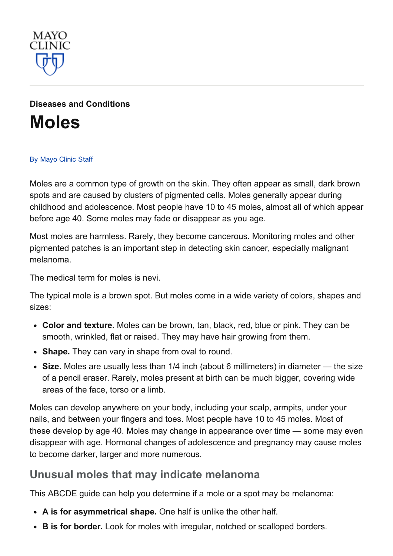

Diseases and [Conditions](http://www.mayoclinic.org/diseases-conditions) [Moles](http://www.mayoclinic.org/diseases-conditions/moles/basics/definition/con-20019745)

#### By [Mayo](http://www.mayoclinic.org/about-this-site/welcome) Clinic Staff

Moles are a common type of growth on the skin. They often appear as small, dark brown spots and are caused by clusters of pigmented cells. Moles generally appear during childhood and adolescence. Most people have 10 to 45 moles, almost all of which appear before age 40. Some moles may fade or disappear as you age.

Most moles are harmless. Rarely, they become cancerous. Monitoring moles and other pigmented patches is an important step in detecting skin cancer, especially malignant melanoma.

The medical term for moles is nevi.

The typical mole is a brown spot. But moles come in a wide variety of colors, shapes and sizes:

- Color and texture. Moles can be brown, tan, black, red, blue or pink. They can be smooth, wrinkled, flat or raised. They may have hair growing from them.
- Shape. They can vary in shape from oval to round.
- Size. Moles are usually less than 1/4 inch (about 6 millimeters) in diameter the size of a pencil eraser. Rarely, moles present at birth can be much bigger, covering wide areas of the face, torso or a limb.

Moles can develop anywhere on your body, including your scalp, armpits, under your nails, and between your fingers and toes. Most people have 10 to 45 moles. Most of these develop by age 40. Moles may change in appearance over time — some may even disappear with age. Hormonal changes of adolescence and pregnancy may cause moles to become darker, larger and more numerous.

#### Unusual moles that may indicate melanoma

This ABCDE guide can help you determine if a mole or a spot may be melanoma:

- A is for asymmetrical shape. One half is unlike the other half.
- B is for border. Look for moles with irregular, notched or scalloped borders.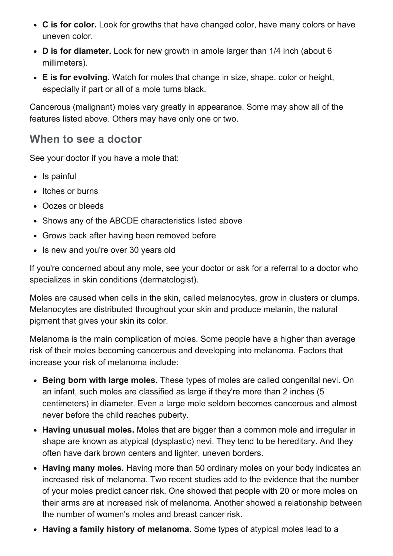- C is for color. Look for growths that have changed color, have many colors or have uneven color.
- D is for diameter. Look for new growth in amole larger than 1/4 inch (about 6 millimeters).
- E is for evolving. Watch for moles that change in size, shape, color or height, especially if part or all of a mole turns black.

Cancerous (malignant) moles vary greatly in appearance. Some may show all of the features listed above. Others may have only one or two.

### When to see a doctor

See your doctor if you have a mole that:

- Is painful
- Itches or burns
- Oozes or bleeds
- Shows any of the ABCDE characteristics listed above
- Grows back after having been removed before
- Is new and you're over 30 years old

If you're concerned about any mole, see your doctor or ask for a referral to a doctor who specializes in skin conditions (dermatologist).

Moles are caused when cells in the skin, called melanocytes, grow in clusters or clumps. Melanocytes are distributed throughout your skin and produce melanin, the natural pigment that gives your skin its color.

Melanoma is the main complication of moles. Some people have a higher than average risk of their moles becoming cancerous and developing into melanoma. Factors that increase your risk of melanoma include:

- Being born with large moles. These types of moles are called congenital nevi. On an infant, such moles are classified as large if they're more than 2 inches (5 centimeters) in diameter. Even a large mole seldom becomes cancerous and almost never before the child reaches puberty.
- Having unusual moles. Moles that are bigger than a common mole and irregular in shape are known as atypical (dysplastic) nevi. They tend to be hereditary. And they often have dark brown centers and lighter, uneven borders.
- Having many moles. Having more than 50 ordinary moles on your body indicates an increased risk of melanoma. Two recent studies add to the evidence that the number of your moles predict cancer risk. One showed that people with 20 or more moles on their arms are at increased risk of melanoma. Another showed a relationship between the number of women's moles and breast cancer risk.
- Having a family history of melanoma. Some types of atypical moles lead to a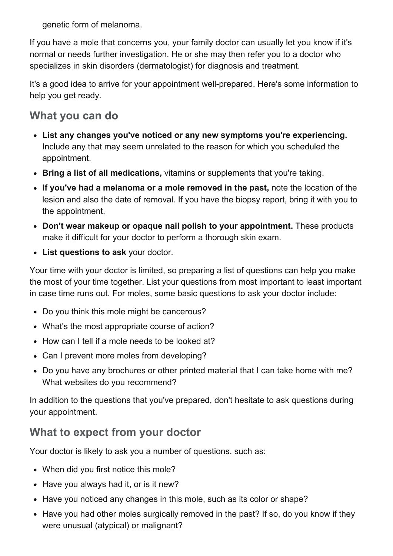genetic form of melanoma.

If you have a mole that concerns you, your family doctor can usually let you know if it's normal or needs further investigation. He or she may then refer you to a doctor who specializes in skin disorders (dermatologist) for diagnosis and treatment.

It's a good idea to arrive for your appointment well-prepared. Here's some information to help you get ready.

# What you can do

- List any changes you've noticed or any new symptoms you're experiencing. Include any that may seem unrelated to the reason for which you scheduled the appointment.
- Bring a list of all medications, vitamins or supplements that you're taking.
- If you've had a melanoma or a mole removed in the past, note the location of the lesion and also the date of removal. If you have the biopsy report, bring it with you to the appointment.
- Don't wear makeup or opaque nail polish to your appointment. These products make it difficult for your doctor to perform a thorough skin exam.
- List questions to ask your doctor.

Your time with your doctor is limited, so preparing a list of questions can help you make the most of your time together. List your questions from most important to least important in case time runs out. For moles, some basic questions to ask your doctor include:

- Do you think this mole might be cancerous?
- What's the most appropriate course of action?
- How can I tell if a mole needs to be looked at?
- Can I prevent more moles from developing?
- Do you have any brochures or other printed material that I can take home with me? What websites do you recommend?

In addition to the questions that you've prepared, don't hesitate to ask questions during your appointment.

# What to expect from your doctor

Your doctor is likely to ask you a number of questions, such as:

- When did you first notice this mole?
- Have you always had it, or is it new?
- Have you noticed any changes in this mole, such as its color or shape?
- Have you had other moles surgically removed in the past? If so, do you know if they were unusual (atypical) or malignant?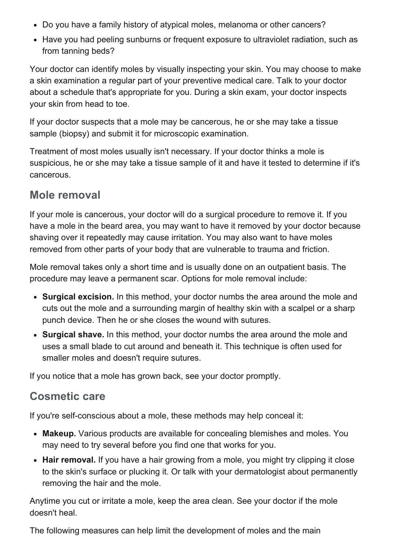- Do you have a family history of atypical moles, melanoma or other cancers?
- Have you had peeling sunburns or frequent exposure to ultraviolet radiation, such as from tanning beds?

Your doctor can identify moles by visually inspecting your skin. You may choose to make a skin examination a regular part of your preventive medical care. Talk to your doctor about a schedule that's appropriate for you. During a skin exam, your doctor inspects your skin from head to toe.

If your doctor suspects that a mole may be cancerous, he or she may take a tissue sample (biopsy) and submit it for microscopic examination.

Treatment of most moles usually isn't necessary. If your doctor thinks a mole is suspicious, he or she may take a tissue sample of it and have it tested to determine if it's cancerous.

### Mole removal

If your mole is cancerous, your doctor will do a surgical procedure to remove it. If you have a mole in the beard area, you may want to have it removed by your doctor because shaving over it repeatedly may cause irritation. You may also want to have moles removed from other parts of your body that are vulnerable to trauma and friction.

Mole removal takes only a short time and is usually done on an outpatient basis. The procedure may leave a permanent scar. Options for mole removal include:

- Surgical excision. In this method, your doctor numbs the area around the mole and cuts out the mole and a surrounding margin of healthy skin with a scalpel or a sharp punch device. Then he or she closes the wound with sutures.
- Surgical shave. In this method, your doctor numbs the area around the mole and uses a small blade to cut around and beneath it. This technique is often used for smaller moles and doesn't require sutures.

If you notice that a mole has grown back, see your doctor promptly.

### Cosmetic care

If you're self-conscious about a mole, these methods may help conceal it:

- Makeup. Various products are available for concealing blemishes and moles. You may need to try several before you find one that works for you.
- Hair removal. If you have a hair growing from a mole, you might try clipping it close to the skin's surface or plucking it. Or talk with your dermatologist about permanently removing the hair and the mole.

Anytime you cut or irritate a mole, keep the area clean. See your doctor if the mole doesn't heal.

The following measures can help limit the development of moles and the main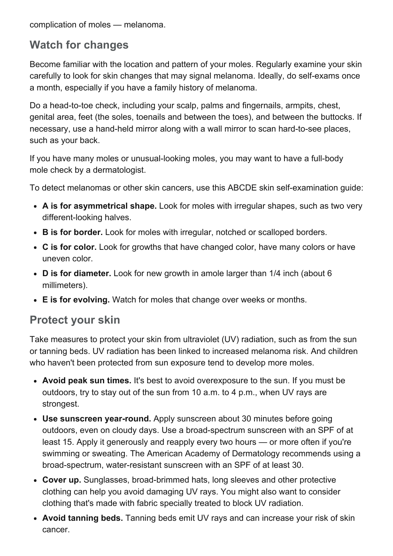complication of moles — melanoma.

## Watch for changes

Become familiar with the location and pattern of your moles. Regularly examine your skin carefully to look for skin changes that may signal melanoma. Ideally, do self-exams once a month, especially if you have a family history of melanoma.

Do a head-to-toe check, including your scalp, palms and fingernails, armpits, chest, genital area, feet (the soles, toenails and between the toes), and between the buttocks. If necessary, use a hand-held mirror along with a wall mirror to scan hard-to-see places, such as your back.

If you have many moles or unusual-looking moles, you may want to have a full-body mole check by a dermatologist.

To detect melanomas or other skin cancers, use this ABCDE skin self-examination quide:

- A is for asymmetrical shape. Look for moles with irregular shapes, such as two very different-looking halves.
- B is for border. Look for moles with irregular, notched or scalloped borders.
- C is for color. Look for growths that have changed color, have many colors or have uneven color.
- D is for diameter. Look for new growth in amole larger than 1/4 inch (about 6 millimeters).
- E is for evolving. Watch for moles that change over weeks or months.

### Protect your skin

Take measures to protect your skin from ultraviolet (UV) radiation, such as from the sun or tanning beds. UV radiation has been linked to increased melanoma risk. And children who haven't been protected from sun exposure tend to develop more moles.

- Avoid peak sun times. It's best to avoid overexposure to the sun. If you must be outdoors, try to stay out of the sun from 10 a.m. to 4 p.m., when UV rays are strongest.
- Use sunscreen year-round. Apply sunscreen about 30 minutes before going outdoors, even on cloudy days. Use a broad-spectrum sunscreen with an SPF of at least 15. Apply it generously and reapply every two hours — or more often if you're swimming or sweating. The American Academy of Dermatology recommends using a broad-spectrum, water-resistant sunscreen with an SPF of at least 30.
- Cover up. Sunglasses, broad-brimmed hats, long sleeves and other protective clothing can help you avoid damaging UV rays. You might also want to consider clothing that's made with fabric specially treated to block UV radiation.
- Avoid tanning beds. Tanning beds emit UV rays and can increase your risk of skin cancer.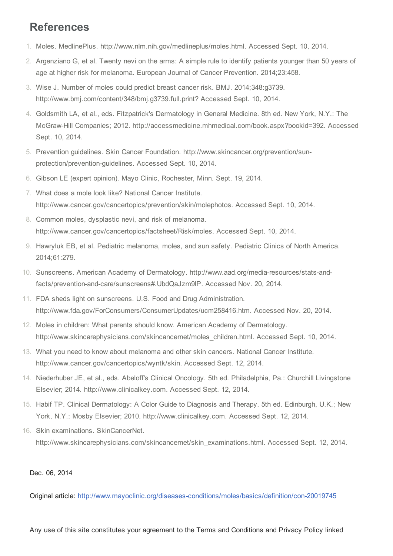### References

- 1. Moles. MedlinePlus. http://www.nlm.nih.gov/medlineplus/moles.html. Accessed Sept. 10, 2014.
- 2. Argenziano G, et al. Twenty nevi on the arms: A simple rule to identify patients younger than 50 years of age at higher risk for melanoma. European Journal of Cancer Prevention. 2014;23:458.
- 3. Wise J. Number of moles could predict breast cancer risk. BMJ. 2014;348:g3739. http://www.bmj.com/content/348/bmj.g3739.full.print? Accessed Sept. 10, 2014.
- 4. Goldsmith LA, et al., eds. Fitzpatrick's Dermatology in General Medicine. 8th ed. New York, N.Y.: The McGrawHill Companies; 2012. http://accessmedicine.mhmedical.com/book.aspx?bookid=392. Accessed Sept. 10, 2014.
- 5. Prevention guidelines. Skin Cancer Foundation. http://www.skincancer.org/prevention/sunprotection/prevention-guidelines. Accessed Sept. 10, 2014.
- 6. Gibson LE (expert opinion). Mayo Clinic, Rochester, Minn. Sept. 19, 2014.
- 7. What does a mole look like? National Cancer Institute. http://www.cancer.gov/cancertopics/prevention/skin/molephotos. Accessed Sept. 10, 2014.
- 8. Common moles, dysplastic nevi, and risk of melanoma. http://www.cancer.gov/cancertopics/factsheet/Risk/moles. Accessed Sept. 10, 2014.
- 9. Hawryluk EB, et al. Pediatric melanoma, moles, and sun safety. Pediatric Clinics of North America. 2014;61:279.
- 10. Sunscreens. American Academy of Dermatology. http://www.aad.org/media-resources/stats-andfacts/prevention-and-care/sunscreens#.UbdQaJzm9lP. Accessed Nov. 20, 2014.
- 11. FDA sheds light on sunscreens. U.S. Food and Drug Administration. http://www.fda.gov/ForConsumers/ConsumerUpdates/ucm258416.htm. Accessed Nov. 20, 2014.
- 12. Moles in children: What parents should know. American Academy of Dermatology. http://www.skincarephysicians.com/skincancernet/moles\_children.html. Accessed Sept. 10, 2014.
- 13. What you need to know about melanoma and other skin cancers. National Cancer Institute. http://www.cancer.gov/cancertopics/wyntk/skin. Accessed Sept. 12, 2014.
- 14. Niederhuber JE, et al., eds. Abeloff's Clinical Oncology. 5th ed. Philadelphia, Pa.: Churchill Livingstone Elsevier; 2014. http://www.clinicalkey.com. Accessed Sept. 12, 2014.
- 15. Habif TP. Clinical Dermatology: A Color Guide to Diagnosis and Therapy. 5th ed. Edinburgh, U.K.; New York, N.Y.: Mosby Elsevier; 2010. http://www.clinicalkey.com. Accessed Sept. 12, 2014.
- 16. Skin examinations. SkinCancerNet. http://www.skincarephysicians.com/skincancernet/skin\_examinations.html. Accessed Sept. 12, 2014.

#### Dec. 06, 2014

Original article: http://www.mayoclinic.org/diseases-conditions/moles/basics/definition/con-20019745